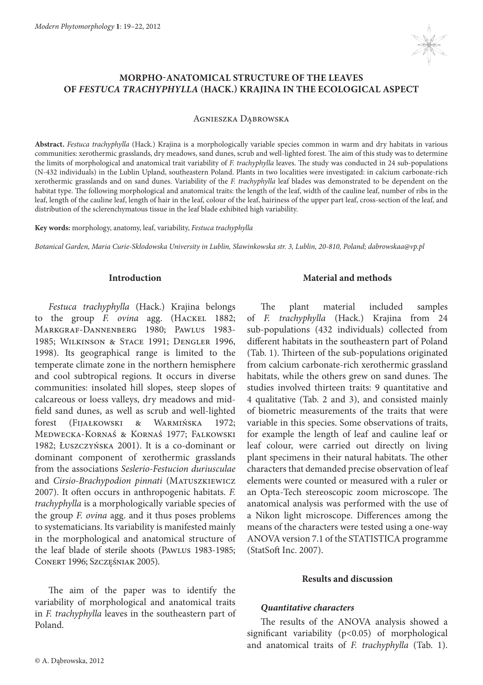

# **MORPHO-ANATOMICAL STRUCTURE OF THE LEAVES OF** *FESTUCA TRACHYPHYLLA* **(HACK.) KRAJINA IN THE ECOLOGICAL ASPECT**

Agnieszka Dąbrowska

**Abstract.** *Festuca trachyphylla* (Hack.) Krajina is a morphologically variable species common in warm and dry habitats in various communities: xerothermic grasslands, dry meadows, sand dunes, scrub and well-lighted forest. The aim of this study was to determine the limits of morphological and anatomical trait variability of *F. trachyphylla* leaves. The study was conducted in 24 sub-populations (N-432 individuals) in the Lublin Upland, southeastern Poland. Plants in two localities were investigated: in calcium carbonate-rich xerothermic grasslands and on sand dunes. Variability of the *F. trachyphylla* leaf blades was demonstrated to be dependent on the habitat type. The following morphological and anatomical traits: the length of the leaf, width of the cauline leaf, number of ribs in the leaf, length of the cauline leaf, length of hair in the leaf, colour of the leaf, hairiness of the upper part leaf, cross-section of the leaf, and distribution of the sclerenchymatous tissue in the leaf blade exhibited high variability.

**Key words:** morphology, anatomy, leaf, variability, *Festuca trachyphylla*

*Botanical Garden, Maria Curie-Skłodowska University in Lublin, Sławinkowska str. 3, Lublin, 20-810, Poland; dabrowskaa@vp.pl*

## **Introduction**

*Festuca trachyphylla* (Hack.) Krajina belongs to the group *F. ovina* agg. (Hackel 1882; Markgraf-Dannenberg 1980; Pawlus 1983- 1985; Wilkinson & Stace 1991; Dengler 1996, 1998). Its geographical range is limited to the temperate climate zone in the northern hemisphere and cool subtropical regions. It occurs in diverse communities: insolated hill slopes, steep slopes of calcareous or loess valleys, dry meadows and midfield sand dunes, as well as scrub and well-lighted forest (Fijałkowski & Warmińska 1972; Medwecka-Kornaś & Kornaś 1977; Falkowski 1982; Łuszczyńska 2001). It is a co-dominant or dominant component of xerothermic grasslands from the associations *Seslerio-Festucion duriusculae* and *Cirsio-Brachypodion pinnati* (MATUSZKIEWICZ 2007). It often occurs in anthropogenic habitats. *F. trachyphylla* is a morphologically variable species of the group *F. ovina* agg. and it thus poses problems to systematicians. Its variability is manifested mainly in the morphological and anatomical structure of the leaf blade of sterile shoots (Pawlus 1983-1985; Conert 1996; Szczęśniak 2005).

The aim of the paper was to identify the variability of morphological and anatomical traits in *F. trachyphylla* leaves in the southeastern part of Poland.

## **Material and methods**

The plant material included samples of *F. trachyphylla* (Hack.) Krajina from 24 sub-populations (432 individuals) collected from different habitats in the southeastern part of Poland (Tab. 1). Thirteen of the sub-populations originated from calcium carbonate-rich xerothermic grassland habitats, while the others grew on sand dunes. The studies involved thirteen traits: 9 quantitative and 4 qualitative (Tab. 2 and 3), and consisted mainly of biometric measurements of the traits that were variable in this species. Some observations of traits, for example the length of leaf and cauline leaf or leaf colour, were carried out directly on living plant specimens in their natural habitats. The other characters that demanded precise observation of leaf elements were counted or measured with a ruler or an Opta-Tech stereoscopic zoom microscope. The anatomical analysis was performed with the use of a Nikon light microscope. Differences among the means of the characters were tested using a one-way ANOVA version 7.1 of the STATISTICA programme (StatSoft Inc. 2007).

## **Results and discussion**

## *Quantitative characters*

The results of the ANOVA analysis showed a significant variability (p<0.05) of morphological and anatomical traits of *F. trachyphylla* (Tab. 1).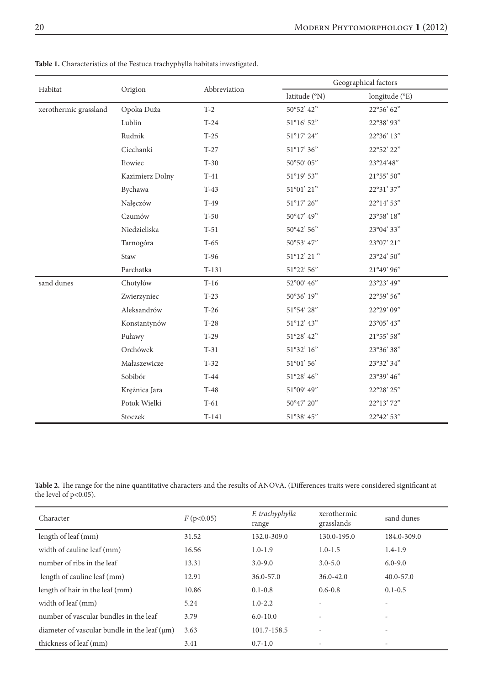| Habitat               | Origion         | Abbreviation | Geographical factors                  |                |  |
|-----------------------|-----------------|--------------|---------------------------------------|----------------|--|
|                       |                 |              | latitude (°N)                         | longitude (°E) |  |
| xerothermic grassland | Opoka Duża      | $T-2$        | 50°52' 42"                            | 22°56' 62"     |  |
|                       | Lublin          | $T-24$       | 51°16' 52"                            | 22°38' 93"     |  |
|                       | Rudnik          | $T-25$       | 51°17' 24"                            | 22°36' 13"     |  |
|                       | Ciechanki       | $T-27$       | 51°17' 36"                            | 22°52' 22"     |  |
|                       | Iłowiec         | $T-30$       | 50°50' 05"                            | 23°24'48"      |  |
|                       | Kazimierz Dolny | $T-41$       | 51°19' 53"                            | 21°55' 50"     |  |
|                       | Bychawa         | $T-43$       | 51°01' 21"                            | 22°31' 37"     |  |
|                       | Nałęczów        | $T-49$       | 51°17' 26"                            | 22°14' 53"     |  |
|                       | Czumów          | $T-50$       | 50°47' 49"                            | 23°58' 18"     |  |
|                       | Niedzieliska    | $T-51$       | 50°42' 56"                            | 23°04' 33"     |  |
|                       | Tarnogóra       | $T-65$       | 50°53' 47"                            | 23°07' 21"     |  |
|                       | Staw            | T-96         | $51^{\circ}12^{\prime}$ 21 $^{\circ}$ | 23°24' 50"     |  |
|                       | Parchatka       | $T-131$      | 51°22' 56"                            | 21°49' 96"     |  |
| sand dunes            | Chotyłów        | $T-16$       | 52°00' 46"                            | 23°23' 49"     |  |
|                       | Zwierzyniec     | $T-23$       | 50°36' 19"                            | 22°59' 56"     |  |
|                       | Aleksandrów     | $T-26$       | 51°54' 28"                            | 22°29' 09"     |  |
|                       | Konstantynów    | $T-28$       | 51°12' 43"                            | 23°05' 43"     |  |
|                       | Puławy          | $T-29$       | 51°28' 42"                            | 21°55' 58"     |  |
|                       | Orchówek        | $T-31$       | 51°32' 16"                            | 23°36' 38"     |  |
|                       | Małaszewicze    | $T-32$       | 51°01' 56'                            | 23°32' 34"     |  |
|                       | Sobibór         | $T-44$       | 51°28' 46"                            | 23°39' 46"     |  |
|                       | Krężnica Jara   | $T-48$       | 51°09' 49"                            | 22°28' 25"     |  |
|                       | Potok Wielki    | $T-61$       | 50°47' 20"                            | 22°13'72"      |  |
|                       | Stoczek         | $T-141$      | 51°38' 45"                            | 22°42' 53"     |  |

**Table 1.** Characteristics of the Festuca trachyphylla habitats investigated.

**Table 2.** The range for the nine quantitative characters and the results of ANOVA. (Differences traits were considered significant at the level of  $p<0.05$ ).

| Character                                         | F(p<0.05) | F. trachyphylla<br>range | xerothermic<br>grasslands | sand dunes    |
|---------------------------------------------------|-----------|--------------------------|---------------------------|---------------|
| length of leaf (mm)                               | 31.52     | 132.0-309.0              | 130.0-195.0               | 184.0-309.0   |
| width of cauline leaf (mm)                        | 16.56     | $1.0 - 1.9$              | $1.0 - 1.5$               | $1.4 - 1.9$   |
| number of ribs in the leaf                        | 13.31     | $3.0 - 9.0$              | $3.0 - 5.0$               | $6.0 - 9.0$   |
| length of cauline leaf (mm)                       | 12.91     | $36.0 - 57.0$            | $36.0 - 42.0$             | $40.0 - 57.0$ |
| length of hair in the leaf (mm)                   | 10.86     | $0.1 - 0.8$              | $0.6 - 0.8$               | $0.1 - 0.5$   |
| width of leaf (mm)                                | 5.24      | $1.0 - 2.2$              | $\overline{a}$            | ٠             |
| number of vascular bundles in the leaf            | 3.79      | $6.0 - 10.0$             | $\overline{a}$            | ٠             |
| diameter of vascular bundle in the leaf $(\mu m)$ | 3.63      | 101.7-158.5              | $\overline{a}$            | ٠             |
| thickness of leaf (mm)                            | 3.41      | $0.7 - 1.0$              | $\overline{\phantom{a}}$  | ٠             |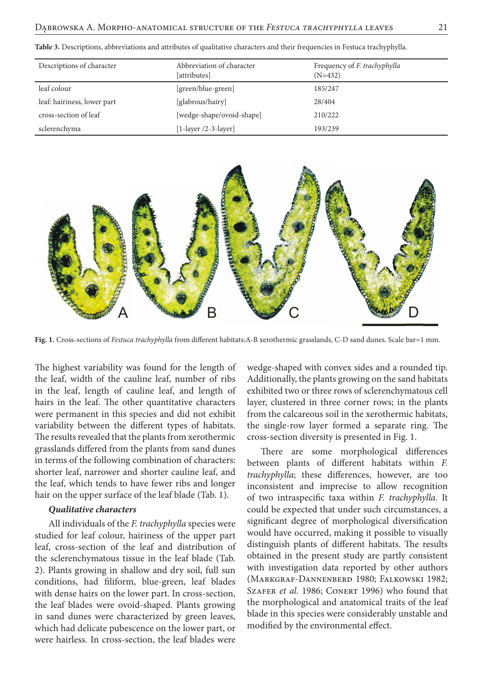| Descriptions of character   | Abbreviation of character<br>[attributes] | Frequency of <i>F. trachyphylla</i><br>$(N=432)$ |
|-----------------------------|-------------------------------------------|--------------------------------------------------|
| leaf colour                 | [green/blue-green]                        | 185/247                                          |
| leaf: hairiness, lower part | [glabrous/hairy]                          | 28/404                                           |
| cross-section of leaf       | [wedge-shape/ovoid-shape]                 | 210/222                                          |
| sclerenchyma                | [1-layer $/2$ -3-layer]                   | 193/239                                          |

**Table 3.** Descriptions, abbreviations and attributes of qualitative characters and their frequencies in Festuca trachyphylla.



**Fig. 1.** Cross-sections of *Festuca trachyphylla* from different habitats:A-B xerothermic grasslands, C-D sand dunes. Scale bar=1 mm.

The highest variability was found for the length of the leaf, width of the cauline leaf, number of ribs in the leaf, length of cauline leaf, and length of hairs in the leaf. The other quantitative characters were permanent in this species and did not exhibit variability between the different types of habitats. The results revealed that the plants from xerothermic grasslands differed from the plants from sand dunes in terms of the following combination of characters: shorter leaf, narrower and shorter cauline leaf, and the leaf, which tends to have fewer ribs and longer hair on the upper surface of the leaf blade (Tab. 1).

#### *Qualitative characters*

All individuals of the *F. trachyphylla* species were studied for leaf colour, hairiness of the upper part leaf, cross-section of the leaf and distribution of the sclerenchymatous tissue in the leaf blade (Tab. 2). Plants growing in shallow and dry soil, full sun conditions, had filiform, blue-green, leaf blades with dense hairs on the lower part. In cross-section, the leaf blades were ovoid-shaped. Plants growing in sand dunes were characterized by green leaves, which had delicate pubescence on the lower part, or were hairless. In cross-section, the leaf blades were

wedge-shaped with convex sides and a rounded tip. Additionally, the plants growing on the sand habitats exhibited two or three rows of sclerenchymatous cell layer, clustered in three corner rows; in the plants from the calcareous soil in the xerothermic habitats, the single-row layer formed a separate ring. The cross-section diversity is presented in Fig. 1.

There are some morphological differences between plants of different habitats within *F. trachyphylla*; these differences, however, are too inconsistent and imprecise to allow recognition of two intraspecific taxa within *F. trachyphylla*. It could be expected that under such circumstances, a significant degree of morphological diversification would have occurred, making it possible to visually distinguish plants of different habitats. The results obtained in the present study are partly consistent with investigation data reported by other authors (Markgraf-Dannenberd 1980; Falkowski 1982; SZAFER *et al.* 1986; CONERT 1996) who found that the morphological and anatomical traits of the leaf blade in this species were considerably unstable and modified by the environmental effect.